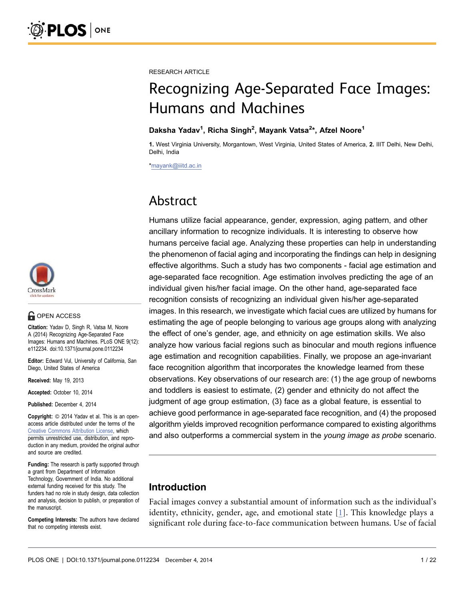

## **G** OPEN ACCESS

Citation: Yadav D, Singh R, Vatsa M, Noore A (2014) Recognizing Age-Separated Face Images: Humans and Machines. PLoS ONE 9(12): e112234. doi:10.1371/journal.pone.0112234

Editor: Edward Vul, University of California, San Diego, United States of America

Received: May 19, 2013

Accepted: October 10, 2014

Published: December 4, 2014

Copyright: © 2014 Yadav et al. This is an openaccess article distributed under the terms of the Creative Commons Attribution License, which permits unrestricted use, distribution, and reproduction in any medium, provided the original author and source are credited.

Funding: The research is partly supported through a grant from Department of Information Technology, Government of India. No additional external funding received for this study. The funders had no role in study design, data collection and analysis, decision to publish, or preparation of the manuscript.

Competing Interests: The authors have declared that no competing interests exist.

RESEARCH ARTICLE

## Recognizing Age-Separated Face Images: Humans and Machines

#### Daksha Yadav<sup>1</sup>, Richa Singh<sup>2</sup>, Mayank Vatsa<sup>2\*</sup>, Afzel Noore<sup>1</sup>

1. West Virginia University, Morgantown, West Virginia, United States of America, 2. IIIT Delhi, New Delhi, Delhi, India

\*mayank@iiitd.ac.in

## Abstract

Humans utilize facial appearance, gender, expression, aging pattern, and other ancillary information to recognize individuals. It is interesting to observe how humans perceive facial age. Analyzing these properties can help in understanding the phenomenon of facial aging and incorporating the findings can help in designing effective algorithms. Such a study has two components - facial age estimation and age-separated face recognition. Age estimation involves predicting the age of an individual given his/her facial image. On the other hand, age-separated face recognition consists of recognizing an individual given his/her age-separated images. In this research, we investigate which facial cues are utilized by humans for estimating the age of people belonging to various age groups along with analyzing the effect of one's gender, age, and ethnicity on age estimation skills. We also analyze how various facial regions such as binocular and mouth regions influence age estimation and recognition capabilities. Finally, we propose an age-invariant face recognition algorithm that incorporates the knowledge learned from these observations. Key observations of our research are: (1) the age group of newborns and toddlers is easiest to estimate, (2) gender and ethnicity do not affect the judgment of age group estimation, (3) face as a global feature, is essential to achieve good performance in age-separated face recognition, and (4) the proposed algorithm yields improved recognition performance compared to existing algorithms and also outperforms a commercial system in the young image as probe scenario.

## Introduction

Facial images convey a substantial amount of information such as the individual's identity, ethnicity, gender, age, and emotional state [1]. This knowledge plays a significant role during face-to-face communication between humans. Use of facial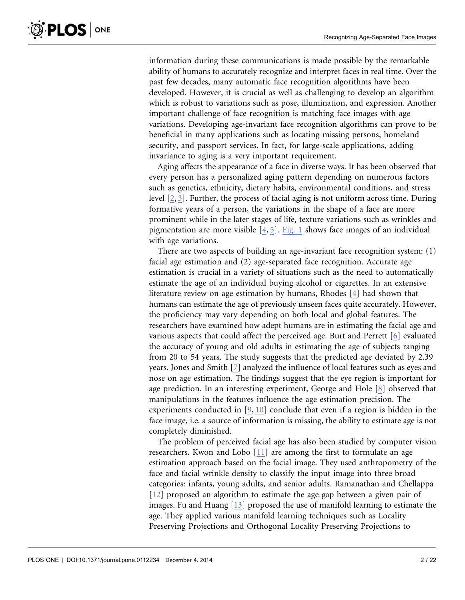information during these communications is made possible by the remarkable ability of humans to accurately recognize and interpret faces in real time. Over the past few decades, many automatic face recognition algorithms have been developed. However, it is crucial as well as challenging to develop an algorithm which is robust to variations such as pose, illumination, and expression. Another important challenge of face recognition is matching face images with age variations. Developing age-invariant face recognition algorithms can prove to be beneficial in many applications such as locating missing persons, homeland security, and passport services. In fact, for large-scale applications, adding invariance to aging is a very important requirement.

Aging affects the appearance of a face in diverse ways. It has been observed that every person has a personalized aging pattern depending on numerous factors such as genetics, ethnicity, dietary habits, environmental conditions, and stress level [2, 3]. Further, the process of facial aging is not uniform across time. During formative years of a person, the variations in the shape of a face are more prominent while in the later stages of life, texture variations such as wrinkles and pigmentation are more visible [4, 5]. Fig. 1 shows face images of an individual with age variations.

There are two aspects of building an age-invariant face recognition system: (1) facial age estimation and (2) age-separated face recognition. Accurate age estimation is crucial in a variety of situations such as the need to automatically estimate the age of an individual buying alcohol or cigarettes. In an extensive literature review on age estimation by humans, Rhodes [4] had shown that humans can estimate the age of previously unseen faces quite accurately. However, the proficiency may vary depending on both local and global features. The researchers have examined how adept humans are in estimating the facial age and various aspects that could affect the perceived age. Burt and Perrett [6] evaluated the accuracy of young and old adults in estimating the age of subjects ranging from 20 to 54 years. The study suggests that the predicted age deviated by 2.39 years. Jones and Smith [7] analyzed the influence of local features such as eyes and nose on age estimation. The findings suggest that the eye region is important for age prediction. In an interesting experiment, George and Hole [8] observed that manipulations in the features influence the age estimation precision. The experiments conducted in [9, 10] conclude that even if a region is hidden in the face image, i.e. a source of information is missing, the ability to estimate age is not completely diminished.

The problem of perceived facial age has also been studied by computer vision researchers. Kwon and Lobo [11] are among the first to formulate an age estimation approach based on the facial image. They used anthropometry of the face and facial wrinkle density to classify the input image into three broad categories: infants, young adults, and senior adults. Ramanathan and Chellappa [12] proposed an algorithm to estimate the age gap between a given pair of images. Fu and Huang [13] proposed the use of manifold learning to estimate the age. They applied various manifold learning techniques such as Locality Preserving Projections and Orthogonal Locality Preserving Projections to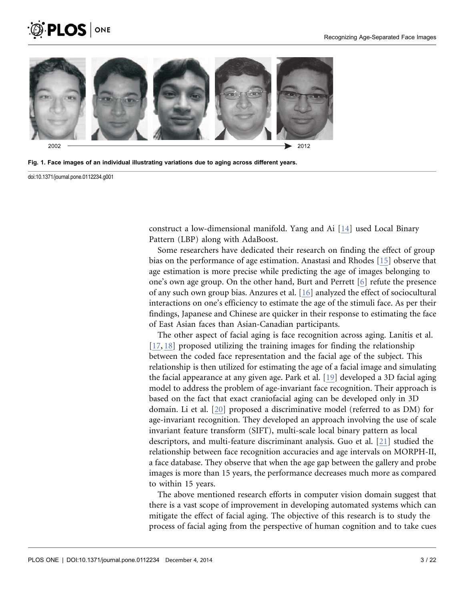





doi:10.1371/journal.pone.0112234.g001

construct a low-dimensional manifold. Yang and Ai [14] used Local Binary Pattern (LBP) along with AdaBoost.

Some researchers have dedicated their research on finding the effect of group bias on the performance of age estimation. Anastasi and Rhodes [15] observe that age estimation is more precise while predicting the age of images belonging to one's own age group. On the other hand, Burt and Perrett [6] refute the presence of any such own group bias. Anzures et al. [16] analyzed the effect of sociocultural interactions on one's efficiency to estimate the age of the stimuli face. As per their findings, Japanese and Chinese are quicker in their response to estimating the face of East Asian faces than Asian-Canadian participants.

The other aspect of facial aging is face recognition across aging. Lanitis et al. [17, 18] proposed utilizing the training images for finding the relationship between the coded face representation and the facial age of the subject. This relationship is then utilized for estimating the age of a facial image and simulating the facial appearance at any given age. Park et al. [19] developed a 3D facial aging model to address the problem of age-invariant face recognition. Their approach is based on the fact that exact craniofacial aging can be developed only in 3D domain. Li et al. [20] proposed a discriminative model (referred to as DM) for age-invariant recognition. They developed an approach involving the use of scale invariant feature transform (SIFT), multi-scale local binary pattern as local descriptors, and multi-feature discriminant analysis. Guo et al. [21] studied the relationship between face recognition accuracies and age intervals on MORPH-II, a face database. They observe that when the age gap between the gallery and probe images is more than 15 years, the performance decreases much more as compared to within 15 years.

The above mentioned research efforts in computer vision domain suggest that there is a vast scope of improvement in developing automated systems which can mitigate the effect of facial aging. The objective of this research is to study the process of facial aging from the perspective of human cognition and to take cues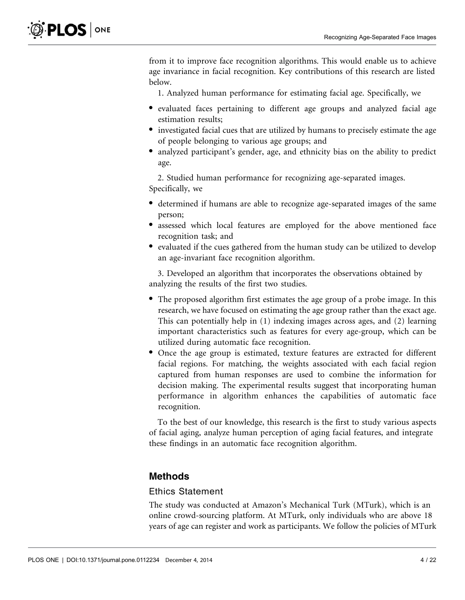from it to improve face recognition algorithms. This would enable us to achieve age invariance in facial recognition. Key contributions of this research are listed below.

1. Analyzed human performance for estimating facial age. Specifically, we

- N evaluated faces pertaining to different age groups and analyzed facial age estimation results;
- investigated facial cues that are utilized by humans to precisely estimate the age of people belonging to various age groups; and
- analyzed participant's gender, age, and ethnicity bias on the ability to predict age.

2. Studied human performance for recognizing age-separated images. Specifically, we

- N determined if humans are able to recognize age-separated images of the same person;
- assessed which local features are employed for the above mentioned face recognition task; and
- evaluated if the cues gathered from the human study can be utilized to develop an age-invariant face recognition algorithm.

3. Developed an algorithm that incorporates the observations obtained by analyzing the results of the first two studies.

- The proposed algorithm first estimates the age group of a probe image. In this research, we have focused on estimating the age group rather than the exact age. This can potentially help in (1) indexing images across ages, and (2) learning important characteristics such as features for every age-group, which can be utilized during automatic face recognition.
- N Once the age group is estimated, texture features are extracted for different facial regions. For matching, the weights associated with each facial region captured from human responses are used to combine the information for decision making. The experimental results suggest that incorporating human performance in algorithm enhances the capabilities of automatic face recognition.

To the best of our knowledge, this research is the first to study various aspects of facial aging, analyze human perception of aging facial features, and integrate these findings in an automatic face recognition algorithm.

## Methods

#### Ethics Statement

The study was conducted at Amazon's Mechanical Turk (MTurk), which is an online crowd-sourcing platform. At MTurk, only individuals who are above 18 years of age can register and work as participants. We follow the policies of MTurk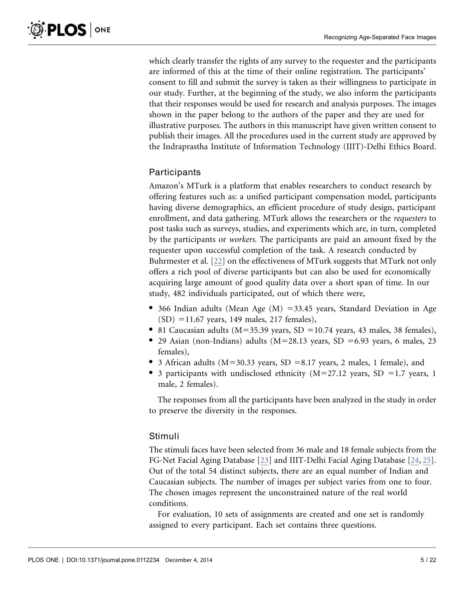which clearly transfer the rights of any survey to the requester and the participants are informed of this at the time of their online registration. The participants' consent to fill and submit the survey is taken as their willingness to participate in our study. Further, at the beginning of the study, we also inform the participants that their responses would be used for research and analysis purposes. The images shown in the paper belong to the authors of the paper and they are used for illustrative purposes. The authors in this manuscript have given written consent to publish their images. All the procedures used in the current study are approved by the Indraprastha Institute of Information Technology (IIIT)-Delhi Ethics Board.

## Participants

Amazon's MTurk is a platform that enables researchers to conduct research by offering features such as: a unified participant compensation model, participants having diverse demographics, an efficient procedure of study design, participant enrollment, and data gathering. MTurk allows the researchers or the requesters to post tasks such as surveys, studies, and experiments which are, in turn, completed by the participants or workers. The participants are paid an amount fixed by the requester upon successful completion of the task. A research conducted by Buhrmester et al. [22] on the effectiveness of MTurk suggests that MTurk not only offers a rich pool of diverse participants but can also be used for economically acquiring large amount of good quality data over a short span of time. In our study, 482 individuals participated, out of which there were,

- 366 Indian adults (Mean Age  $(M)$  =33.45 years, Standard Deviation in Age  $(SD) = 11.67$  years, 149 males, 217 females),
- 81 Caucasian adults ( $M=35.39$  years,  $SD = 10.74$  years, 43 males, 38 females),
- 29 Asian (non-Indians) adults ( $M=28.13$  years, SD =6.93 years, 6 males, 23 females),
- 3 African adults ( $M=30.33$  years,  $SD = 8.17$  years, 2 males, 1 female), and
- 3 participants with undisclosed ethnicity  $(M=27.12$  years, SD = 1.7 years, 1 male, 2 females).

The responses from all the participants have been analyzed in the study in order to preserve the diversity in the responses.

## Stimuli

The stimuli faces have been selected from 36 male and 18 female subjects from the FG-Net Facial Aging Database [23] and IIIT-Delhi Facial Aging Database [24, 25]. Out of the total 54 distinct subjects, there are an equal number of Indian and Caucasian subjects. The number of images per subject varies from one to four. The chosen images represent the unconstrained nature of the real world conditions.

For evaluation, 10 sets of assignments are created and one set is randomly assigned to every participant. Each set contains three questions.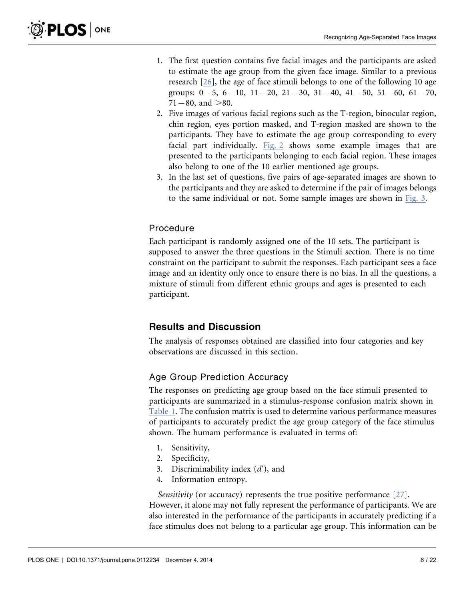- 1. The first question contains five facial images and the participants are asked to estimate the age group from the given face image. Similar to a previous research [26], the age of face stimuli belongs to one of the following 10 age groups:  $0-5$ ,  $6-10$ ,  $11-20$ ,  $21-30$ ,  $31-40$ ,  $41-50$ ,  $51-60$ ,  $61-70$ ,  $71 - 80$ , and  $>80$ .
- 2. Five images of various facial regions such as the T-region, binocular region, chin region, eyes portion masked, and T-region masked are shown to the participants. They have to estimate the age group corresponding to every facial part individually. Fig. 2 shows some example images that are presented to the participants belonging to each facial region. These images also belong to one of the 10 earlier mentioned age groups.
- 3. In the last set of questions, five pairs of age-separated images are shown to the participants and they are asked to determine if the pair of images belongs to the same individual or not. Some sample images are shown in Fig. 3.

## Procedure

Each participant is randomly assigned one of the 10 sets. The participant is supposed to answer the three questions in the Stimuli section. There is no time constraint on the participant to submit the responses. Each participant sees a face image and an identity only once to ensure there is no bias. In all the questions, a mixture of stimuli from different ethnic groups and ages is presented to each participant.

## Results and Discussion

The analysis of responses obtained are classified into four categories and key observations are discussed in this section.

## Age Group Prediction Accuracy

The responses on predicting age group based on the face stimuli presented to participants are summarized in a stimulus-response confusion matrix shown in Table 1. The confusion matrix is used to determine various performance measures of participants to accurately predict the age group category of the face stimulus shown. The humam performance is evaluated in terms of:

- 1. Sensitivity,
- 2. Specificity,
- 3. Discriminability index  $(d')$ , and
- 4. Information entropy.

Sensitivity (or accuracy) represents the true positive performance [27]. However, it alone may not fully represent the performance of participants. We are also interested in the performance of the participants in accurately predicting if a face stimulus does not belong to a particular age group. This information can be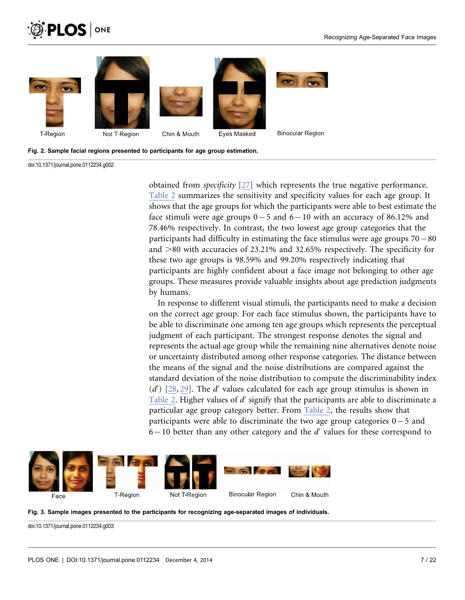









**Binocular Region** 

Fig. 2. Sample facial regions presented to participants for age group estimation.

doi:10.1371/journal.pone.0112234.g002

obtained from specificity [27] which represents the true negative performance. Table 2 summarizes the sensitivity and specificity values for each age group. It shows that the age groups for which the participants were able to best estimate the face stimuli were age groups  $0-5$  and  $6-10$  with an accuracy of 86.12% and 78.46% respectively. In contrast, the two lowest age group categories that the participants had difficulty in estimating the face stimulus were age groups  $70{-}80$ and  $>80$  with accuracies of 23.21% and 32.65% respectively. The specificity for these two age groups is 98.59% and 99.20% respectively indicating that participants are highly confident about a face image not belonging to other age groups. These measures provide valuable insights about age prediction judgments by humans.

In response to different visual stimuli, the participants need to make a decision on the correct age group. For each face stimulus shown, the participants have to be able to discriminate one among ten age groups which represents the perceptual judgment of each participant. The strongest response denotes the signal and represents the actual age group while the remaining nine alternatives denote noise or uncertainty distributed among other response categories. The distance between the means of the signal and the noise distributions are compared against the standard deviation of the noise distribution to compute the discriminability index  $(d')$  [28, 29]. The d' values calculated for each age group stimulus is shown in Table 2. Higher values of  $d'$  signify that the participants are able to discriminate a particular age group category better. From Table 2, the results show that participants were able to discriminate the two age group categories  $0-5$  and  $6-10$  better than any other category and the d' values for these correspond to





doi:10.1371/journal.pone.0112234.g003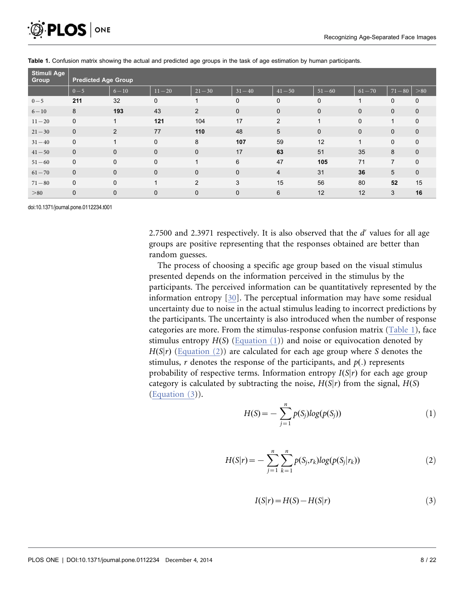

| Stimuli Age<br>Group | <b>Predicted Age Group</b> |              |             |              |             |                 |              |              |                |             |
|----------------------|----------------------------|--------------|-------------|--------------|-------------|-----------------|--------------|--------------|----------------|-------------|
|                      | $0 - 5$                    | $6 - 10$     | $11 - 20$   | $21 - 30$    | $31 - 40$   | $41 - 50$       | $51 - 60$    | $61 - 70$    | $71 - 80$      | > 80        |
| $0 - 5$              | 211                        | 32           | $\mathbf 0$ |              | $\mathbf 0$ | 0               | $\mathbf 0$  |              | $\mathbf 0$    | $\mathbf 0$ |
| $6 - 10$             | 8                          | 193          | 43          | 2            | $\mathbf 0$ | $\mathbf 0$     | $\mathbf 0$  | $\mathbf 0$  | $\mathbf{0}$   | $\mathbf 0$ |
| $11 - 20$            | $\mathbf 0$                | 1            | 121         | 104          | 17          | 2               | 1            | $\Omega$     | 1              | $\mathbf 0$ |
| $21 - 30$            | $\mathbf 0$                | 2            | 77          | 110          | 48          | $5\phantom{.0}$ | $\mathbf{0}$ | $\mathbf{0}$ | $\mathbf{0}$   | $\mathbf 0$ |
| $31 - 40$            | $\mathbf 0$                | 1            | $\mathbf 0$ | 8            | 107         | 59              | 12           | $\mathbf{1}$ | $\mathbf 0$    | $\mathbf 0$ |
| $41 - 50$            | $\mathbf{0}$               | $\mathbf{0}$ | $\mathbf 0$ | $\mathbf{0}$ | 17          | 63              | 51           | 35           | 8              | $\mathbf 0$ |
| $51 - 60$            | $\mathbf 0$                | $\mathbf 0$  | $\Omega$    | 1            | 6           | 47              | 105          | 71           | $\overline{7}$ | $\mathbf 0$ |
| $61 - 70$            | $\mathbf{0}$               | $\mathbf{0}$ | $\mathbf 0$ | $\mathbf{0}$ | $\mathbf 0$ | $\overline{4}$  | 31           | 36           | 5              | $\mathbf 0$ |
| $71 - 80$            | $\mathbf 0$                | $\mathbf 0$  | 1           | 2            | 3           | 15              | 56           | 80           | 52             | 15          |
| > 80                 | $\mathbf 0$                | $\mathbf{0}$ | $\mathbf 0$ | $\mathbf{0}$ | $\mathbf 0$ | 6               | 12           | 12           | 3              | 16          |

Table 1. Confusion matrix showing the actual and predicted age groups in the task of age estimation by human participants.

doi:10.1371/journal.pone.0112234.t001

2.7500 and 2.3971 respectively. It is also observed that the d' values for all age groups are positive representing that the responses obtained are better than random guesses.

The process of choosing a specific age group based on the visual stimulus presented depends on the information perceived in the stimulus by the participants. The perceived information can be quantitatively represented by the information entropy [30]. The perceptual information may have some residual uncertainty due to noise in the actual stimulus leading to incorrect predictions by the participants. The uncertainty is also introduced when the number of response categories are more. From the stimulus-response confusion matrix (Table 1), face stimulus entropy  $H(S)$  (Equation (1)) and noise or equivocation denoted by  $H(S|r)$  (Equation (2)) are calculated for each age group where S denotes the stimulus, r denotes the response of the participants, and  $p(.)$  represents probability of respective terms. Information entropy  $I(S|r)$  for each age group category is calculated by subtracting the noise,  $H(S|r)$  from the signal,  $H(S)$ (Equation (3)).

$$
H(S) = -\sum_{j=1}^{n} p(S_j) log(p(S_j))
$$
 (1)

$$
H(S|r) = -\sum_{j=1}^{n} \sum_{k=1}^{n} p(S_j, r_k) \log(p(S_j|r_k))
$$
\n(2)

$$
I(S|r) = H(S) - H(S|r)
$$
\n<sup>(3)</sup>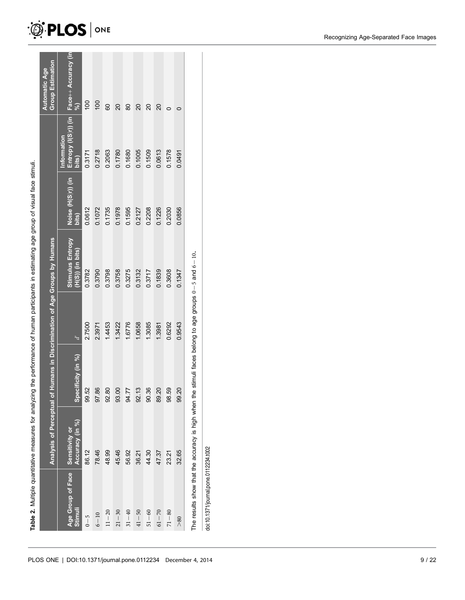|                                             |                 | Analysis of Perceptual of Humans in Discrimination of Age Groups by Humans |             |                                               |                             |                     | <b>Group Estimation</b><br><b>Automatic Age</b> |
|---------------------------------------------|-----------------|----------------------------------------------------------------------------|-------------|-----------------------------------------------|-----------------------------|---------------------|-------------------------------------------------|
| Age Group of Face Sensitivity or<br>Stimuli | Accuracy (in %) | Specificity (in %)                                                         | $\tilde{f}$ | <b>Stimulus Entropy</b><br>$(H(S))$ (in bits) | Noise (H(S r)) (in<br>bits) | nformation<br>bits) | Entropy (I(S r)) (in Face++ Accuracy (in<br>Se) |
| $0 - 5$                                     | 86.12           | <u>يو</u><br>99.5                                                          | 2.7500      | 0.3782                                        | 0.0612                      | 0.3171              | $\overline{00}$                                 |
| $6 - 10$                                    | 78.46           | 97.86                                                                      | 2.3971      | 0.3790                                        | 0.1072                      | 0.2718              | $\overline{00}$                                 |
| $11 - 20$                                   | 48.99           | 92.8                                                                       | 1.4453      | 0.3798                                        | 0.1735                      | 0.2063              | 80                                              |
| $21 - 30$                                   | 45.46           | ∘<br>$\frac{0}{3}$                                                         | 1.3422      | 0.3758                                        | 0.1978                      | 0.1780              | $\overline{20}$                                 |
| $31 - 40$                                   | 56.92           | 94.7                                                                       | 1.6776      | 03275                                         | 0.1595                      | 0.1680              | 80                                              |
| $41 - 50$                                   | 36.21           | $\frac{1}{2}$                                                              | 1.0658      | 0.3132                                        | 0.2127                      | 0.1005              | 20                                              |
| $51 - 60$                                   | 44.30           | 90.36                                                                      | 1.3085      | 0.3717                                        | 0.2208                      | 0.1509              | $\overline{20}$                                 |
| $61 - 70$                                   | 47.37           | 89.20                                                                      | 1.3981      | 0.1839                                        | 0.1226                      | 0.0613              | 20                                              |
| $71 - 80$                                   | 23.21           | 98.59                                                                      | 0.6292      | 0.3608                                        | 0.2030                      | 0.1578              | 0                                               |
| > 80                                        | 32.65           | 99.20                                                                      | 0.9543      | 0.1347                                        | 0.0856                      | 0.0491              | 0                                               |

doi:10.1371/journal.pone.0112234.t002 doi:10.1371/journal.pone.0112234.t002

# $\otimes$  PLOS  $| \circ \mathsf{NE}$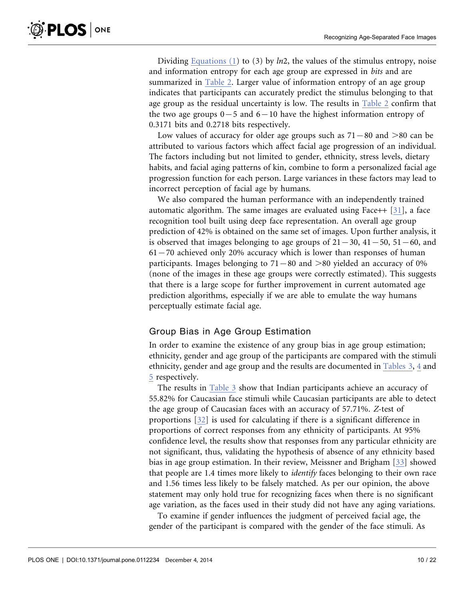Dividing Equations (1) to (3) by  $ln2$ , the values of the stimulus entropy, noise and information entropy for each age group are expressed in bits and are summarized in Table 2. Larger value of information entropy of an age group indicates that participants can accurately predict the stimulus belonging to that age group as the residual uncertainty is low. The results in Table 2 confirm that the two age groups  $0-5$  and  $6-10$  have the highest information entropy of 0.3171 bits and 0.2718 bits respectively.

Low values of accuracy for older age groups such as  $71-80$  and  $>80$  can be attributed to various factors which affect facial age progression of an individual. The factors including but not limited to gender, ethnicity, stress levels, dietary habits, and facial aging patterns of kin, combine to form a personalized facial age progression function for each person. Large variances in these factors may lead to incorrect perception of facial age by humans.

We also compared the human performance with an independently trained automatic algorithm. The same images are evaluated using Face++ [31], a face recognition tool built using deep face representation. An overall age group prediction of 42% is obtained on the same set of images. Upon further analysis, it is observed that images belonging to age groups of  $21{-}30$ ,  $41{-}50$ ,  $51{-}60$ , and  $61 - 70$  achieved only 20% accuracy which is lower than responses of human participants. Images belonging to  $71-80$  and  $>80$  yielded an accuracy of 0% (none of the images in these age groups were correctly estimated). This suggests that there is a large scope for further improvement in current automated age prediction algorithms, especially if we are able to emulate the way humans perceptually estimate facial age.

#### Group Bias in Age Group Estimation

In order to examine the existence of any group bias in age group estimation; ethnicity, gender and age group of the participants are compared with the stimuli ethnicity, gender and age group and the results are documented in Tables 3, 4 and 5 respectively.

The results in Table 3 show that Indian participants achieve an accuracy of 55.82% for Caucasian face stimuli while Caucasian participants are able to detect the age group of Caucasian faces with an accuracy of 57.71%. Z-test of proportions [32] is used for calculating if there is a significant difference in proportions of correct responses from any ethnicity of participants. At 95% confidence level, the results show that responses from any particular ethnicity are not significant, thus, validating the hypothesis of absence of any ethnicity based bias in age group estimation. In their review, Meissner and Brigham [33] showed that people are 1.4 times more likely to identify faces belonging to their own race and 1.56 times less likely to be falsely matched. As per our opinion, the above statement may only hold true for recognizing faces when there is no significant age variation, as the faces used in their study did not have any aging variations.

To examine if gender influences the judgment of perceived facial age, the gender of the participant is compared with the gender of the face stimuli. As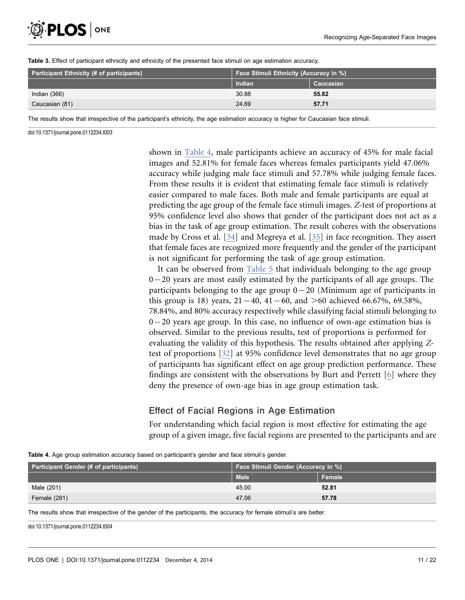

| <b>Participant Ethnicity (# of participants)</b> | Face Stimuli Ethnicity (Accuracy in %) |           |  |
|--------------------------------------------------|----------------------------------------|-----------|--|
|                                                  | Indian                                 | Caucasian |  |
| Indian (366)                                     | 30.88                                  | 55.82     |  |
| Caucasian (81)                                   | 24.69                                  | 57.71     |  |

Table 3. Effect of participant ethnicity and ethnicity of the presented face stimuli on age estimation accuracy.

The results show that irrespective of the participant's ethnicity, the age estimation accuracy is higher for Caucasian face stimuli.

doi:10.1371/journal.pone.0112234.t003

shown in Table 4, male participants achieve an accuracy of 45% for male facial images and 52.81% for female faces whereas females participants yield 47.06% accuracy while judging male face stimuli and 57.78% while judging female faces. From these results it is evident that estimating female face stimuli is relatively easier compared to male faces. Both male and female participants are equal at predicting the age group of the female face stimuli images. Z-test of proportions at 95% confidence level also shows that gender of the participant does not act as a bias in the task of age group estimation. The result coheres with the observations made by Cross et al. [34] and Megreya et al. [35] in face recognition. They assert that female faces are recognized more frequently and the gender of the participant is not significant for performing the task of age group estimation.

It can be observed from Table 5 that individuals belonging to the age group  $0$  – 20 years are most easily estimated by the participants of all age groups. The participants belonging to the age group  $0-20$  (Minimum age of participants in this group is 18) years,  $21{-}40$ ,  $41{-}60$ , and  $>60$  achieved 66.67%, 69.58%, 78.84%, and 80% accuracy respectively while classifying facial stimuli belonging to  $0-20$  years age group. In this case, no influence of own-age estimation bias is observed. Similar to the previous results, test of proportions is performed for evaluating the validity of this hypothesis. The results obtained after applying Ztest of proportions [32] at 95% confidence level demonstrates that no age group of participants has significant effect on age group prediction performance. These findings are consistent with the observations by Burt and Perrett [6] where they deny the presence of own-age bias in age group estimation task.

#### Effect of Facial Regions in Age Estimation

For understanding which facial region is most effective for estimating the age group of a given image, five facial regions are presented to the participants and are

| <b>Participant Gender (# of participants)</b> | <b>Face Stimuli Gender (Accuracy in %)</b> |        |
|-----------------------------------------------|--------------------------------------------|--------|
|                                               | <b>Male</b>                                | Female |
| Male (201)                                    | 45.00                                      | 52.81  |
| Female (281)                                  | 47.06                                      | 57.78  |

Table 4. Age group estimation accuracy based on participant's gender and face stimuli's gender.

The results show that irrespective of the gender of the participants, the accuracy for female stimuli's are better.

doi:10.1371/journal.pone.0112234.t004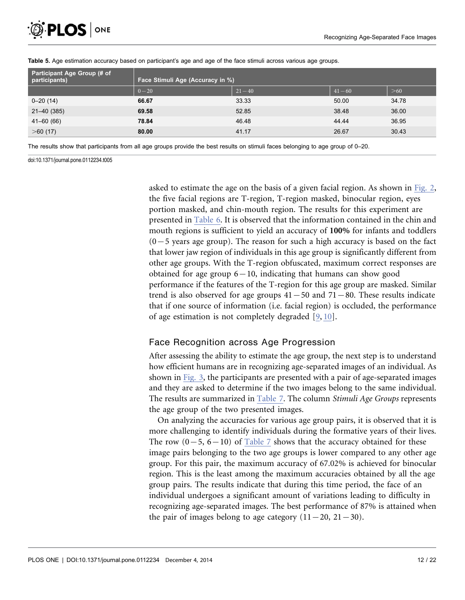

| Participant Age Group (# of<br>participants) | Face Stimuli Age (Accuracy in %) |           |           |       |  |  |  |
|----------------------------------------------|----------------------------------|-----------|-----------|-------|--|--|--|
|                                              | $0 - 20$                         | $21 - 40$ | $41 - 60$ | >60   |  |  |  |
| $0 - 20(14)$                                 | 66.67                            | 33.33     | 50.00     | 34.78 |  |  |  |
| 21-40 (385)                                  | 69.58                            | 52.85     | 38.48     | 36.00 |  |  |  |
| $41 - 60(66)$                                | 78.84                            | 46.48     | 44.44     | 36.95 |  |  |  |
| >60(17)                                      | 80.00                            | 41.17     | 26.67     | 30.43 |  |  |  |

#### Table 5. Age estimation accuracy based on participant's age and age of the face stimuli across various age groups.

The results show that participants from all age groups provide the best results on stimuli faces belonging to age group of 0–20.

doi:10.1371/journal.pone.0112234.t005

asked to estimate the age on the basis of a given facial region. As shown in Fig. 2, the five facial regions are T-region, T-region masked, binocular region, eyes portion masked, and chin-mouth region. The results for this experiment are presented in Table 6. It is observed that the information contained in the chin and mouth regions is sufficient to yield an accuracy of 100% for infants and toddlers  $(0-5$  years age group). The reason for such a high accuracy is based on the fact that lower jaw region of individuals in this age group is significantly different from other age groups. With the T-region obfuscated, maximum correct responses are obtained for age group  $6-10$ , indicating that humans can show good performance if the features of the T-region for this age group are masked. Similar trend is also observed for age groups  $41-50$  and  $71-80$ . These results indicate that if one source of information (i.e. facial region) is occluded, the performance of age estimation is not completely degraded [9, 10].

#### Face Recognition across Age Progression

After assessing the ability to estimate the age group, the next step is to understand how efficient humans are in recognizing age-separated images of an individual. As shown in Fig. 3, the participants are presented with a pair of age-separated images and they are asked to determine if the two images belong to the same individual. The results are summarized in Table 7. The column Stimuli Age Groups represents the age group of the two presented images.

On analyzing the accuracies for various age group pairs, it is observed that it is more challenging to identify individuals during the formative years of their lives. The row  $(0-5, 6-10)$  of Table 7 shows that the accuracy obtained for these image pairs belonging to the two age groups is lower compared to any other age group. For this pair, the maximum accuracy of 67.02% is achieved for binocular region. This is the least among the maximum accuracies obtained by all the age group pairs. The results indicate that during this time period, the face of an individual undergoes a significant amount of variations leading to difficulty in recognizing age-separated images. The best performance of 87% is attained when the pair of images belong to age category  $(11{-}20, 21{-}30)$ .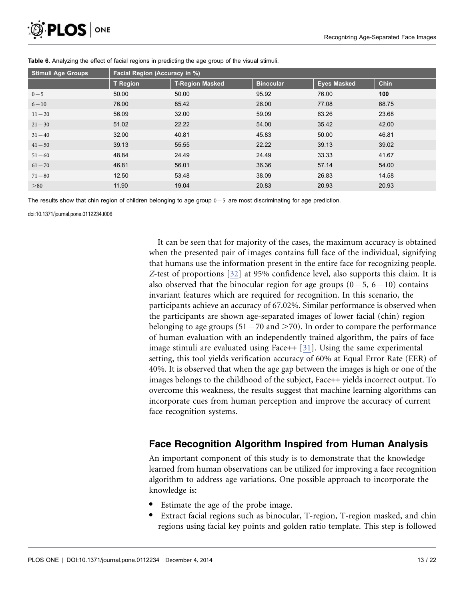| <sup>5</sup> PLOS   ONE |  |
|-------------------------|--|
|-------------------------|--|

| <b>Stimuli Age Groups</b> | Facial Region (Accuracy in %) |                        |                  |                    |             |  |  |
|---------------------------|-------------------------------|------------------------|------------------|--------------------|-------------|--|--|
|                           | <b>T</b> Region               | <b>T-Region Masked</b> | <b>Binocular</b> | <b>Eyes Masked</b> | <b>Chin</b> |  |  |
| $0 - 5$                   | 50.00                         | 50.00                  | 95.92            | 76.00              | 100         |  |  |
| $6 - 10$                  | 76.00                         | 85.42                  | 26.00            | 77.08              | 68.75       |  |  |
| $11 - 20$                 | 56.09                         | 32.00                  | 59.09            | 63.26              | 23.68       |  |  |
| $21 - 30$                 | 51.02                         | 22.22                  | 54.00            | 35.42              | 42.00       |  |  |
| $31 - 40$                 | 32.00                         | 40.81                  | 45.83            | 50.00              | 46.81       |  |  |
| $41 - 50$                 | 39.13                         | 55.55                  | 22.22            | 39.13              | 39.02       |  |  |
| $51 - 60$                 | 48.84                         | 24.49                  | 24.49            | 33.33              | 41.67       |  |  |
| $61 - 70$                 | 46.81                         | 56.01                  | 36.36            | 57.14              | 54.00       |  |  |
| $71 - 80$                 | 12.50                         | 53.48                  | 38.09            | 26.83              | 14.58       |  |  |
| > 80                      | 11.90                         | 19.04                  | 20.83            | 20.93              | 20.93       |  |  |

Table 6. Analyzing the effect of facial regions in predicting the age group of the visual stimuli.

The results show that chin region of children belonging to age group  $0-5$  are most discriminating for age prediction.

doi:10.1371/journal.pone.0112234.t006

It can be seen that for majority of the cases, the maximum accuracy is obtained when the presented pair of images contains full face of the individual, signifying that humans use the information present in the entire face for recognizing people. Z-test of proportions [32] at 95% confidence level, also supports this claim. It is also observed that the binocular region for age groups  $(0-5, 6-10)$  contains invariant features which are required for recognition. In this scenario, the participants achieve an accuracy of 67.02%. Similar performance is observed when the participants are shown age-separated images of lower facial (chin) region belonging to age groups (51 - 70 and  $>$  70). In order to compare the performance of human evaluation with an independently trained algorithm, the pairs of face image stimuli are evaluated using Face  $+$  [31]. Using the same experimental setting, this tool yields verification accuracy of 60% at Equal Error Rate (EER) of 40%. It is observed that when the age gap between the images is high or one of the images belongs to the childhood of the subject, Face++ yields incorrect output. To overcome this weakness, the results suggest that machine learning algorithms can incorporate cues from human perception and improve the accuracy of current face recognition systems.

## Face Recognition Algorithm Inspired from Human Analysis

An important component of this study is to demonstrate that the knowledge learned from human observations can be utilized for improving a face recognition algorithm to address age variations. One possible approach to incorporate the knowledge is:

- Estimate the age of the probe image.
- Extract facial regions such as binocular, T-region, T-region masked, and chin regions using facial key points and golden ratio template. This step is followed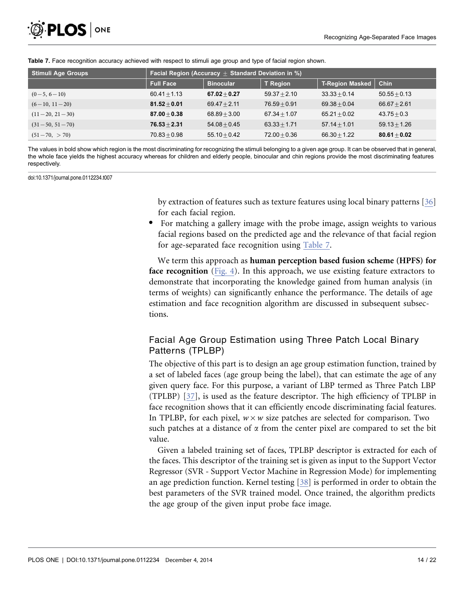

| <b>Stimuli Age Groups</b> | <b>Facial Region (Accuracy <math>\pm</math> Standard Deviation in %)</b> |                  |                 |                        |                |  |  |  |
|---------------------------|--------------------------------------------------------------------------|------------------|-----------------|------------------------|----------------|--|--|--|
|                           | <b>Full Face</b>                                                         | <b>Binocular</b> | <b>T</b> Region | <b>T-Region Masked</b> | <b>Chin</b>    |  |  |  |
| $(0-5, 6-10)$             | $60.41 + 1.13$                                                           | $67.02 + 0.27$   | $59.37 + 2.10$  | $33.33 + 0.14$         | $50.55 + 0.13$ |  |  |  |
| $(6-10, 11-20)$           | $81.52 + 0.01$                                                           | $69.47 + 2.11$   | $76.59 + 0.91$  | $69.38 + 0.04$         | $66.67 + 2.61$ |  |  |  |
| $(11-20, 21-30)$          | $87.00 + 0.38$                                                           | $68.89 + 3.00$   | $67.34 + 1.07$  | $65.21 + 0.02$         | $43.75 + 0.3$  |  |  |  |
| $(31-50, 51-70)$          | $76.53 + 2.31$                                                           | $54.08 + 0.45$   | $63.33 + 1.71$  | $57.14 + 1.01$         | $59.13 + 1.26$ |  |  |  |
| $(51-70, > 70)$           | $70.83 + 0.98$                                                           | $55.10 + 0.42$   | $72.00 + 0.36$  | $66.30 + 1.22$         | $80.61 + 0.02$ |  |  |  |

Table 7. Face recognition accuracy achieved with respect to stimuli age group and type of facial region shown.

The values in bold show which region is the most discriminating for recognizing the stimuli belonging to a given age group. It can be observed that in general, the whole face yields the highest accuracy whereas for children and elderly people, binocular and chin regions provide the most discriminating features respectively.

doi:10.1371/journal.pone.0112234.t007

by extraction of features such as texture features using local binary patterns [36] for each facial region.

N For matching a gallery image with the probe image, assign weights to various facial regions based on the predicted age and the relevance of that facial region for age-separated face recognition using Table 7.

We term this approach as human perception based fusion scheme (HPFS) for face recognition (Fig. 4). In this approach, we use existing feature extractors to demonstrate that incorporating the knowledge gained from human analysis (in terms of weights) can significantly enhance the performance. The details of age estimation and face recognition algorithm are discussed in subsequent subsections.

## Facial Age Group Estimation using Three Patch Local Binary Patterns (TPLBP)

The objective of this part is to design an age group estimation function, trained by a set of labeled faces (age group being the label), that can estimate the age of any given query face. For this purpose, a variant of LBP termed as Three Patch LBP (TPLBP) [37], is used as the feature descriptor. The high efficiency of TPLBP in face recognition shows that it can efficiently encode discriminating facial features. In TPLBP, for each pixel,  $w \times w$  size patches are selected for comparison. Two such patches at a distance of  $\alpha$  from the center pixel are compared to set the bit value.

Given a labeled training set of faces, TPLBP descriptor is extracted for each of the faces. This descriptor of the training set is given as input to the Support Vector Regressor (SVR - Support Vector Machine in Regression Mode) for implementing an age prediction function. Kernel testing [38] is performed in order to obtain the best parameters of the SVR trained model. Once trained, the algorithm predicts the age group of the given input probe face image.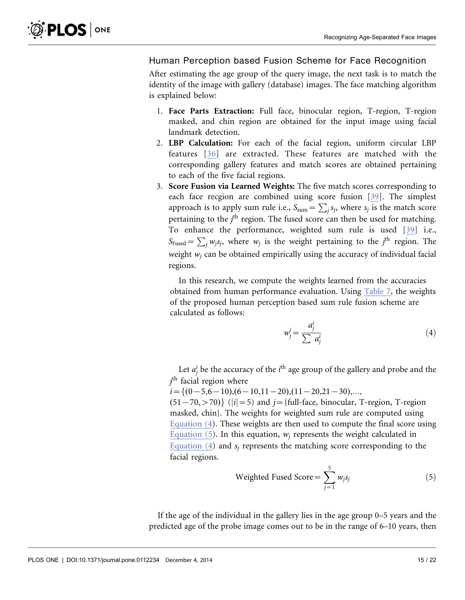#### Human Perception based Fusion Scheme for Face Recognition

After estimating the age group of the query image, the next task is to match the identity of the image with gallery (database) images. The face matching algorithm is explained below:

- 1. Face Parts Extraction: Full face, binocular region, T-region, T-region masked, and chin region are obtained for the input image using facial landmark detection.
- 2. LBP Calculation: For each of the facial region, uniform circular LBP features [36] are extracted. These features are matched with the corresponding gallery features and match scores are obtained pertaining to each of the five facial regions.
- 3. Score Fusion via Learned Weights: The five match scores corresponding to each face recgion are combined using score fusion [39]. The simplest approach is to apply sum rule i.e.,  $S_{sum} = \sum_j s_j$ , where  $s_j$  is the match score pertaining to the  $j<sup>th</sup>$  region. The fused score can then be used for matching. To enhance the performance, weighted sum rule is used [39] i.e.,  $S_{\text{fused}} = \sum_j w_j s_j$ , where  $w_j$  is the weight pertaining to the j<sup>th</sup> region. The weight  $w_i$  can be obtained empirically using the accuracy of individual facial regions.

In this research, we compute the weights learned from the accuracies obtained from human performance evaluation. Using Table 7, the weights of the proposed human perception based sum rule fusion scheme are calculated as follows:

$$
w_j^i = \frac{a_j^i}{\sum a_j^i} \tag{4}
$$

Let  $a_j^i$  be the accuracy of the  $i^{\text{th}}$  age group of the gallery and probe and the  $j^{\rm th}$  facial region where

 $i=\{(0-5,6-10),(6-10,11-20),(11-20,21-30),...\}$ 

 $(51-70, >70)$  ( $|i|=5$ ) and  $j=$  full-face, binocular, T-region, T-region masked, chin}. The weights for weighted sum rule are computed using Equation (4). These weights are then used to compute the final score using Equation (5). In this equation,  $w_i$  represents the weight calculated in Equation (4) and  $s_i$  represents the matching score corresponding to the facial regions.

Weighted Fixed Score = 
$$
\sum_{j=1}^{5} w_j s_j
$$
 (5)

If the age of the individual in the gallery lies in the age group 0–5 years and the predicted age of the probe image comes out to be in the range of 6–10 years, then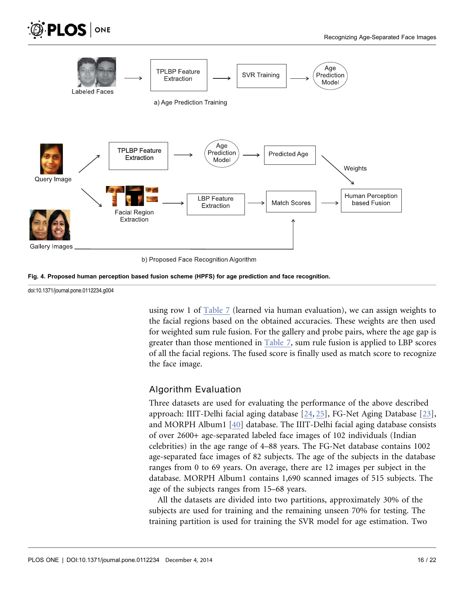

b) Proposed Face Recognition Algorithm



doi:10.1371/journal.pone.0112234.g004

**PLOS** ONE

using row 1 of Table 7 (learned via human evaluation), we can assign weights to the facial regions based on the obtained accuracies. These weights are then used for weighted sum rule fusion. For the gallery and probe pairs, where the age gap is greater than those mentioned in Table 7, sum rule fusion is applied to LBP scores of all the facial regions. The fused score is finally used as match score to recognize the face image.

#### Algorithm Evaluation

Three datasets are used for evaluating the performance of the above described approach: IIIT-Delhi facial aging database [24, 25], FG-Net Aging Database [23], and MORPH Album1 [40] database. The IIIT-Delhi facial aging database consists of over 2600+ age-separated labeled face images of 102 individuals (Indian celebrities) in the age range of 4–88 years. The FG-Net database contains 1002 age-separated face images of 82 subjects. The age of the subjects in the database ranges from 0 to 69 years. On average, there are 12 images per subject in the database. MORPH Album1 contains 1,690 scanned images of 515 subjects. The age of the subjects ranges from 15–68 years.

All the datasets are divided into two partitions, approximately 30% of the subjects are used for training and the remaining unseen 70% for testing. The training partition is used for training the SVR model for age estimation. Two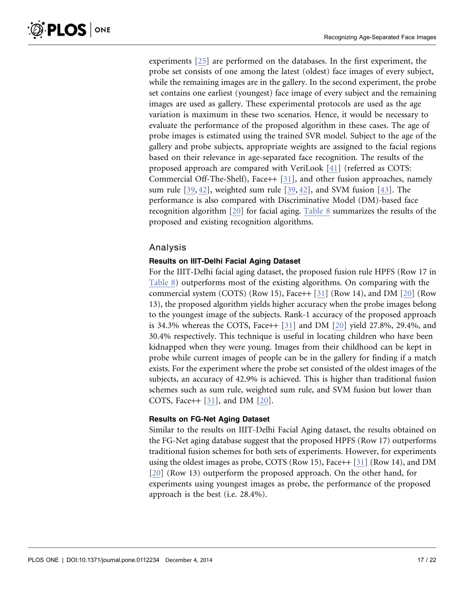experiments [25] are performed on the databases. In the first experiment, the probe set consists of one among the latest (oldest) face images of every subject, while the remaining images are in the gallery. In the second experiment, the probe set contains one earliest (youngest) face image of every subject and the remaining images are used as gallery. These experimental protocols are used as the age variation is maximum in these two scenarios. Hence, it would be necessary to evaluate the performance of the proposed algorithm in these cases. The age of probe images is estimated using the trained SVR model. Subject to the age of the gallery and probe subjects, appropriate weights are assigned to the facial regions based on their relevance in age-separated face recognition. The results of the proposed approach are compared with VeriLook [41] (referred as COTS: Commercial Off-The-Shelf), Face++ [31], and other fusion approaches, namely sum rule [39, 42], weighted sum rule [39, 42], and SVM fusion [43]. The performance is also compared with Discriminative Model (DM)-based face recognition algorithm [20] for facial aging. Table 8 summarizes the results of the proposed and existing recognition algorithms.

#### Analysis

#### Results on IIIT-Delhi Facial Aging Dataset

For the IIIT-Delhi facial aging dataset, the proposed fusion rule HPFS (Row 17 in Table 8) outperforms most of the existing algorithms. On comparing with the commercial system (COTS) (Row 15), Face++ [31] (Row 14), and DM [20] (Row 13), the proposed algorithm yields higher accuracy when the probe images belong to the youngest image of the subjects. Rank-1 accuracy of the proposed approach is 34.3% whereas the COTS, Face +  $[31]$  and DM  $[20]$  yield 27.8%, 29.4%, and 30.4% respectively. This technique is useful in locating children who have been kidnapped when they were young. Images from their childhood can be kept in probe while current images of people can be in the gallery for finding if a match exists. For the experiment where the probe set consisted of the oldest images of the subjects, an accuracy of 42.9% is achieved. This is higher than traditional fusion schemes such as sum rule, weighted sum rule, and SVM fusion but lower than COTS, Face++ [31], and DM [20].

#### Results on FG-Net Aging Dataset

Similar to the results on IIIT-Delhi Facial Aging dataset, the results obtained on the FG-Net aging database suggest that the proposed HPFS (Row 17) outperforms traditional fusion schemes for both sets of experiments. However, for experiments using the oldest images as probe, COTS (Row 15), Face++ [31] (Row 14), and DM [20] (Row 13) outperform the proposed approach. On the other hand, for experiments using youngest images as probe, the performance of the proposed approach is the best (i.e. 28.4%).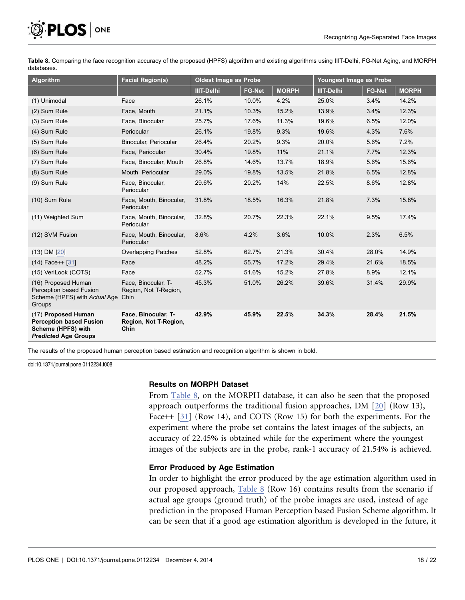

Table 8. Comparing the face recognition accuracy of the proposed (HPFS) algorithm and existing algorithms using IIIT-Delhi, FG-Net Aging, and MORPH databases.

| <b>Algorithm</b>                                                                                           | <b>Facial Region(s)</b>                              | Oldest Image as Probe |               |              |                   | Youngest Image as Probe |              |
|------------------------------------------------------------------------------------------------------------|------------------------------------------------------|-----------------------|---------------|--------------|-------------------|-------------------------|--------------|
|                                                                                                            |                                                      | <b>IIIT-Delhi</b>     | <b>FG-Net</b> | <b>MORPH</b> | <b>IIIT-Delhi</b> | <b>FG-Net</b>           | <b>MORPH</b> |
| (1) Unimodal                                                                                               | Face                                                 | 26.1%                 | 10.0%         | 4.2%         | 25.0%             | 3.4%                    | 14.2%        |
| (2) Sum Rule                                                                                               | Face, Mouth                                          | 21.1%                 | 10.3%         | 15.2%        | 13.9%             | 3.4%                    | 12.3%        |
| (3) Sum Rule                                                                                               | Face, Binocular                                      | 25.7%                 | 17.6%         | 11.3%        | 19.6%             | 6.5%                    | 12.0%        |
| (4) Sum Rule                                                                                               | Periocular                                           | 26.1%                 | 19.8%         | 9.3%         | 19.6%             | 4.3%                    | 7.6%         |
| (5) Sum Rule                                                                                               | Binocular, Periocular                                | 26.4%                 | 20.2%         | 9.3%         | 20.0%             | 5.6%                    | 7.2%         |
| (6) Sum Rule                                                                                               | Face, Periocular                                     | 30.4%                 | 19.8%         | 11%          | 21.1%             | 7.7%                    | 12.3%        |
| (7) Sum Rule                                                                                               | Face, Binocular, Mouth                               | 26.8%                 | 14.6%         | 13.7%        | 18.9%             | 5.6%                    | 15.6%        |
| (8) Sum Rule                                                                                               | Mouth, Periocular                                    | 29.0%                 | 19.8%         | 13.5%        | 21.8%             | 6.5%                    | 12.8%        |
| (9) Sum Rule                                                                                               | Face, Binocular,<br>Periocular                       | 29.6%                 | 20.2%         | 14%          | 22.5%             | 8.6%                    | 12.8%        |
| (10) Sum Rule                                                                                              | Face, Mouth, Binocular,<br>Periocular                | 31.8%                 | 18.5%         | 16.3%        | 21.8%             | 7.3%                    | 15.8%        |
| (11) Weighted Sum                                                                                          | Face, Mouth, Binocular,<br>Periocular                | 32.8%                 | 20.7%         | 22.3%        | 22.1%             | 9.5%                    | 17.4%        |
| (12) SVM Fusion                                                                                            | Face, Mouth, Binocular,<br>Periocular                | 8.6%                  | 4.2%          | 3.6%         | 10.0%             | 2.3%                    | 6.5%         |
| $(13)$ DM $[20]$                                                                                           | <b>Overlapping Patches</b>                           | 52.8%                 | 62.7%         | 21.3%        | 30.4%             | 28.0%                   | 14.9%        |
| $(14)$ Face++ [31]                                                                                         | Face                                                 | 48.2%                 | 55.7%         | 17.2%        | 29.4%             | 21.6%                   | 18.5%        |
| (15) VeriLook (COTS)                                                                                       | Face                                                 | 52.7%                 | 51.6%         | 15.2%        | 27.8%             | 8.9%                    | 12.1%        |
| (16) Proposed Human<br>Perception based Fusion<br>Scheme (HPFS) with Actual Age<br>Groups                  | Face, Binocular, T-<br>Region, Not T-Region,<br>Chin | 45.3%                 | 51.0%         | 26.2%        | 39.6%             | 31.4%                   | 29.9%        |
| (17) Proposed Human<br><b>Perception based Fusion</b><br>Scheme (HPFS) with<br><b>Predicted Age Groups</b> | Face, Binocular, T-<br>Region, Not T-Region,<br>Chin | 42.9%                 | 45.9%         | 22.5%        | 34.3%             | 28.4%                   | 21.5%        |

The results of the proposed human perception based estimation and recognition algorithm is shown in bold.

doi:10.1371/journal.pone.0112234.t008

#### Results on MORPH Dataset

From Table 8, on the MORPH database, it can also be seen that the proposed approach outperforms the traditional fusion approaches, DM [20] (Row 13), Face++ [31] (Row 14), and COTS (Row 15) for both the experiments. For the experiment where the probe set contains the latest images of the subjects, an accuracy of 22.45% is obtained while for the experiment where the youngest images of the subjects are in the probe, rank-1 accuracy of 21.54% is achieved.

#### Error Produced by Age Estimation

In order to highlight the error produced by the age estimation algorithm used in our proposed approach, Table 8 (Row 16) contains results from the scenario if actual age groups (ground truth) of the probe images are used, instead of age prediction in the proposed Human Perception based Fusion Scheme algorithm. It can be seen that if a good age estimation algorithm is developed in the future, it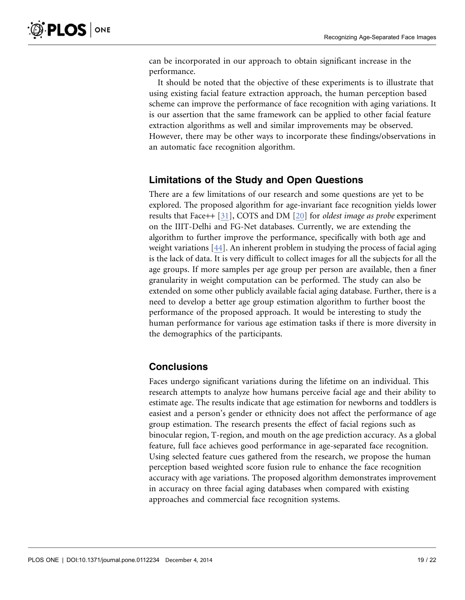can be incorporated in our approach to obtain significant increase in the performance.

It should be noted that the objective of these experiments is to illustrate that using existing facial feature extraction approach, the human perception based scheme can improve the performance of face recognition with aging variations. It is our assertion that the same framework can be applied to other facial feature extraction algorithms as well and similar improvements may be observed. However, there may be other ways to incorporate these findings/observations in an automatic face recognition algorithm.

## Limitations of the Study and Open Questions

There are a few limitations of our research and some questions are yet to be explored. The proposed algorithm for age-invariant face recognition yields lower results that Face++ [31], COTS and DM [20] for oldest image as probe experiment on the IIIT-Delhi and FG-Net databases. Currently, we are extending the algorithm to further improve the performance, specifically with both age and weight variations [44]. An inherent problem in studying the process of facial aging is the lack of data. It is very difficult to collect images for all the subjects for all the age groups. If more samples per age group per person are available, then a finer granularity in weight computation can be performed. The study can also be extended on some other publicly available facial aging database. Further, there is a need to develop a better age group estimation algorithm to further boost the performance of the proposed approach. It would be interesting to study the human performance for various age estimation tasks if there is more diversity in the demographics of the participants.

## **Conclusions**

Faces undergo significant variations during the lifetime on an individual. This research attempts to analyze how humans perceive facial age and their ability to estimate age. The results indicate that age estimation for newborns and toddlers is easiest and a person's gender or ethnicity does not affect the performance of age group estimation. The research presents the effect of facial regions such as binocular region, T-region, and mouth on the age prediction accuracy. As a global feature, full face achieves good performance in age-separated face recognition. Using selected feature cues gathered from the research, we propose the human perception based weighted score fusion rule to enhance the face recognition accuracy with age variations. The proposed algorithm demonstrates improvement in accuracy on three facial aging databases when compared with existing approaches and commercial face recognition systems.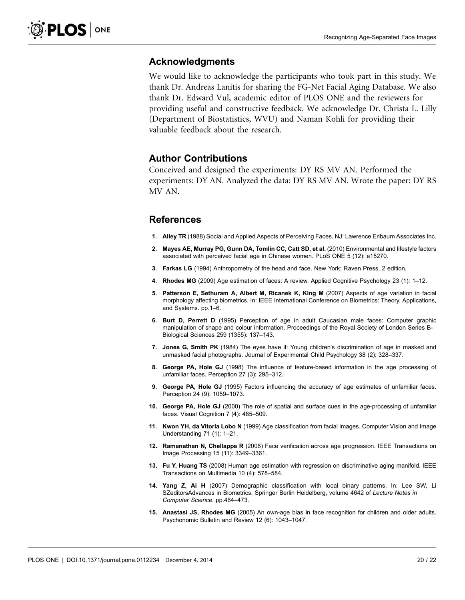#### Acknowledgments

We would like to acknowledge the participants who took part in this study. We thank Dr. Andreas Lanitis for sharing the FG-Net Facial Aging Database. We also thank Dr. Edward Vul, academic editor of PLOS ONE and the reviewers for providing useful and constructive feedback. We acknowledge Dr. Christa L. Lilly (Department of Biostatistics, WVU) and Naman Kohli for providing their valuable feedback about the research.

## Author Contributions

Conceived and designed the experiments: DY RS MV AN. Performed the experiments: DY AN. Analyzed the data: DY RS MV AN. Wrote the paper: DY RS MV AN.

#### References

- 1. Alley TR (1988) Social and Applied Aspects of Perceiving Faces. NJ: Lawrence Erlbaum Associates Inc.
- 2. Mayes AE, Murray PG, Gunn DA, Tomlin CC, Catt SD, et al. (2010) Environmental and lifestyle factors associated with perceived facial age in Chinese women. PLoS ONE 5 (12): e15270.
- 3. Farkas LG (1994) Anthropometry of the head and face. New York: Raven Press, 2 edition.
- 4. Rhodes MG (2009) Age estimation of faces: A review. Applied Cognitive Psychology 23 (1): 1–12.
- 5. Patterson E, Sethuram A, Albert M, Ricanek K, King M (2007) Aspects of age variation in facial morphology affecting biometrics. In: IEEE International Conference on Biometrics: Theory, Applications, and Systems. pp.1–6.
- 6. Burt D, Perrett D (1995) Perception of age in adult Caucasian male faces: Computer graphic manipulation of shape and colour information. Proceedings of the Royal Society of London Series B-Biological Sciences 259 (1355): 137–143.
- 7. Jones G, Smith PK (1984) The eyes have it: Young children's discrimination of age in masked and unmasked facial photographs. Journal of Experimental Child Psychology 38 (2): 328–337.
- 8. George PA, Hole GJ (1998) The influence of feature-based information in the age processing of unfamiliar faces. Perception 27 (3): 295–312.
- 9. George PA, Hole GJ (1995) Factors influencing the accuracy of age estimates of unfamiliar faces. Perception 24 (9): 1059–1073.
- 10. George PA, Hole GJ (2000) The role of spatial and surface cues in the age-processing of unfamiliar faces. Visual Cognition 7 (4): 485–509.
- 11. Kwon YH, da Vitoria Lobo N (1999) Age classification from facial images. Computer Vision and Image Understanding 71 (1): 1–21.
- 12. Ramanathan N, Chellappa R (2006) Face verification across age progression. IEEE Transactions on Image Processing 15 (11): 3349–3361.
- 13. Fu Y, Huang TS (2008) Human age estimation with regression on discriminative aging manifold. IEEE Transactions on Multimedia 10 (4): 578–584.
- 14. Yang Z, Ai H (2007) Demographic classification with local binary patterns. In: Lee SW, Li SZeditorsAdvances in Biometrics, Springer Berlin Heidelberg, volume 4642 of Lecture Notes in Computer Science. pp.464–473.
- 15. Anastasi JS, Rhodes MG (2005) An own-age bias in face recognition for children and older adults. Psychonomic Bulletin and Review 12 (6): 1043–1047.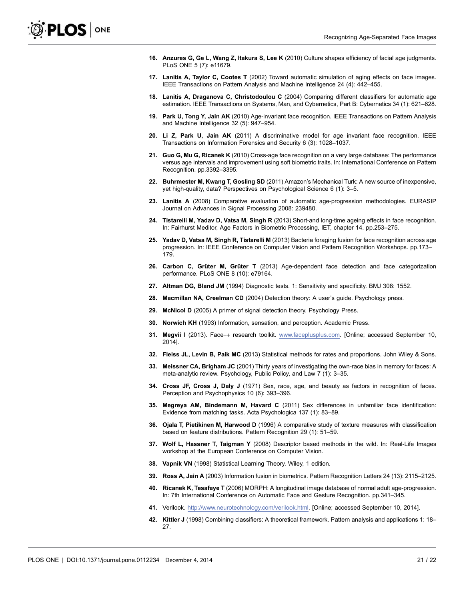- 16. Anzures G, Ge L, Wang Z, Itakura S, Lee K (2010) Culture shapes efficiency of facial age judgments. PLoS ONE 5 (7): e11679.
- 17. Lanitis A, Taylor C, Cootes T (2002) Toward automatic simulation of aging effects on face images. IEEE Transactions on Pattern Analysis and Machine Intelligence 24 (4): 442–455.
- 18. Lanitis A, Draganova C, Christodoulou C (2004) Comparing different classifiers for automatic age estimation. IEEE Transactions on Systems, Man, and Cybernetics, Part B: Cybernetics 34 (1): 621–628.
- 19. Park U, Tong Y, Jain AK (2010) Age-invariant face recognition. IEEE Transactions on Pattern Analysis and Machine Intelligence 32 (5): 947–954.
- 20. Li Z, Park U, Jain AK (2011) A discriminative model for age invariant face recognition. IEEE Transactions on Information Forensics and Security 6 (3): 1028–1037.
- 21. Guo G. Mu G. Ricanek K (2010) Cross-age face recognition on a very large database: The performance versus age intervals and improvement using soft biometric traits. In: International Conference on Pattern Recognition. pp.3392–3395.
- 22. Buhrmester M, Kwang T, Gosling SD (2011) Amazon's Mechanical Turk: A new source of inexpensive, yet high-quality, data? Perspectives on Psychological Science 6 (1): 3–5.
- 23. Lanitis A (2008) Comparative evaluation of automatic age-progression methodologies. EURASIP Journal on Advances in Signal Processing 2008: 239480.
- 24. Tistarelli M, Yadav D, Vatsa M, Singh R (2013) Short-and long-time ageing effects in face recognition. In: Fairhurst Meditor, Age Factors in Biometric Processing, IET, chapter 14. pp.253–275.
- 25. Yadav D, Vatsa M, Singh R, Tistarelli M (2013) Bacteria foraging fusion for face recognition across age progression. In: IEEE Conference on Computer Vision and Pattern Recognition Workshops. pp.173– 179.
- 26. Carbon C, Grüter M, Grüter T (2013) Age-dependent face detection and face categorization performance. PLoS ONE 8 (10): e79164.
- 27. Altman DG, Bland JM (1994) Diagnostic tests. 1: Sensitivity and specificity. BMJ 308: 1552.
- 28. Macmillan NA, Creelman CD (2004) Detection theory: A user's guide. Psychology press.
- 29. McNicol D (2005) A primer of signal detection theory. Psychology Press.
- 30. Norwich KH (1993) Information, sensation, and perception. Academic Press.
- 31. Megvii I (2013). Face++ research toolkit. www.faceplusplus.com. [Online; accessed September 10, 2014].
- 32. Fleiss JL, Levin B, Paik MC (2013) Statistical methods for rates and proportions. John Wiley & Sons.
- 33. Meissner CA, Brigham JC (2001) Thirty years of investigating the own-race bias in memory for faces: A meta-analytic review. Psychology, Public Policy, and Law 7 (1): 3–35.
- 34. Cross JF, Cross J, Daly J (1971) Sex, race, age, and beauty as factors in recognition of faces. Perception and Psychophysics 10 (6): 393–396.
- 35. Megreya AM, Bindemann M, Havard C (2011) Sex differences in unfamiliar face identification: Evidence from matching tasks. Acta Psychologica 137 (1): 83–89.
- 36. Ojala T, Pietikinen M, Harwood D (1996) A comparative study of texture measures with classification based on feature distributions. Pattern Recognition 29 (1): 51–59.
- 37. Wolf L, Hassner T, Taigman Y (2008) Descriptor based methods in the wild. In: Real-Life Images workshop at the European Conference on Computer Vision.
- 38. Vapnik VN (1998) Statistical Learning Theory. Wiley, 1 edition.
- 39. Ross A, Jain A (2003) Information fusion in biometrics. Pattern Recognition Letters 24 (13): 2115–2125.
- 40. Ricanek K, Tesafaye T (2006) MORPH: A longitudinal image database of normal adult age-progression. In: 7th International Conference on Automatic Face and Gesture Recognition. pp.341–345.
- 41. Verilook. http://www.neurotechnology.com/verilook.html. [Online; accessed September 10, 2014].
- 42. Kittler J (1998) Combining classifiers: A theoretical framework. Pattern analysis and applications 1: 18– 27.